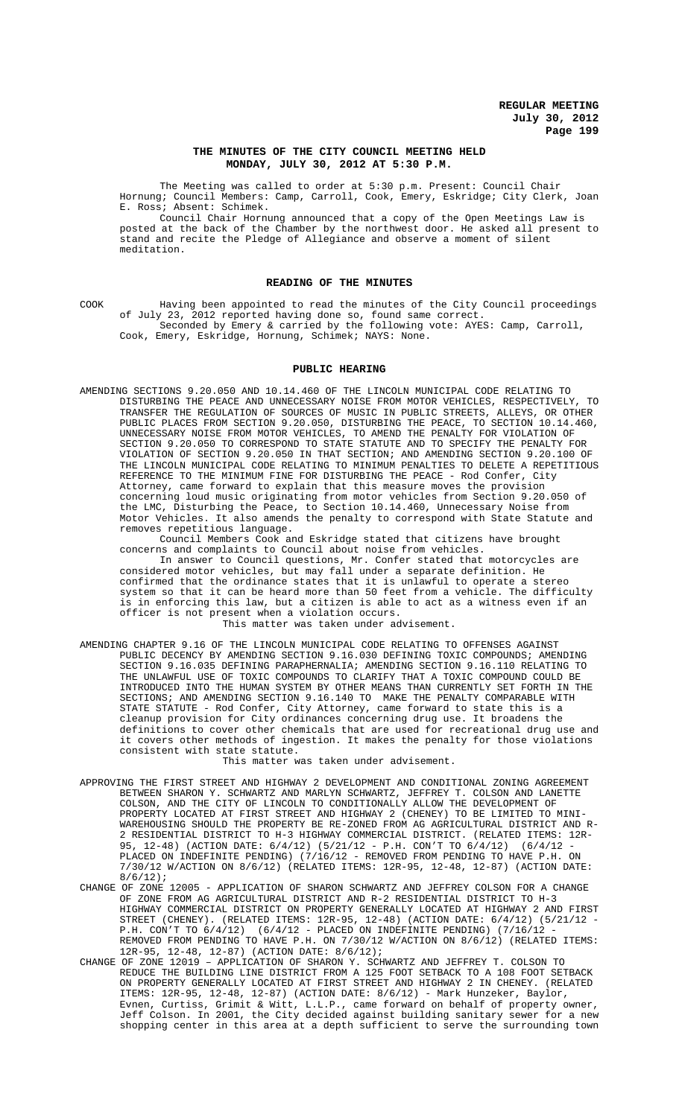# **THE MINUTES OF THE CITY COUNCIL MEETING HELD MONDAY, JULY 30, 2012 AT 5:30 P.M.**

The Meeting was called to order at 5:30 p.m. Present: Council Chair Hornung; Council Members: Camp, Carroll, Cook, Emery, Eskridge; City Clerk, Joan E. Ross; Absent: Schimek.

Council Chair Hornung announced that a copy of the Open Meetings Law is posted at the back of the Chamber by the northwest door. He asked all present to stand and recite the Pledge of Allegiance and observe a moment of silent meditation.

### **READING OF THE MINUTES**

COOK Having been appointed to read the minutes of the City Council proceedings of July 23, 2012 reported having done so, found same correct. Seconded by Emery & carried by the following vote: AYES: Camp, Carroll, Cook, Emery, Eskridge, Hornung, Schimek; NAYS: None.

#### **PUBLIC HEARING**

AMENDING SECTIONS 9.20.050 AND 10.14.460 OF THE LINCOLN MUNICIPAL CODE RELATING TO DISTURBING THE PEACE AND UNNECESSARY NOISE FROM MOTOR VEHICLES, RESPECTIVELY, TO TRANSFER THE REGULATION OF SOURCES OF MUSIC IN PUBLIC STREETS, ALLEYS, OR OTHER PUBLIC PLACES FROM SECTION 9.20.050, DISTURBING THE PEACE, TO SECTION 10.14.460, UNNECESSARY NOISE FROM MOTOR VEHICLES, TO AMEND THE PENALTY FOR VIOLATION OF SECTION 9.20.050 TO CORRESPOND TO STATE STATUTE AND TO SPECIFY THE PENALTY FOR VIOLATION OF SECTION 9.20.050 IN THAT SECTION; AND AMENDING SECTION 9.20.100 OF THE LINCOLN MUNICIPAL CODE RELATING TO MINIMUM PENALTIES TO DELETE A REPETITIOUS<br>REFERENCE TO THE MINIMUM FINE FOR DISTURBING THE PEACE - Rod Confer, City REFERENCE TO THE MINIMUM FINE FOR DISTURBING THE PEACE - Rod Confer, Attorney, came forward to explain that this measure moves the provision concerning loud music originating from motor vehicles from Section 9.20.050 of the LMC, Disturbing the Peace, to Section 10.14.460, Unnecessary Noise from Motor Vehicles. It also amends the penalty to correspond with State Statute and removes repetitious language.

Council Members Cook and Eskridge stated that citizens have brought concerns and complaints to Council about noise from vehicles.

In answer to Council questions, Mr. Confer stated that motorcycles are considered motor vehicles, but may fall under a separate definition. He confirmed that the ordinance states that it is unlawful to operate a stereo system so that it can be heard more than 50 feet from a vehicle. The difficulty is in enforcing this law, but a citizen is able to act as a witness even if an officer is not present when a violation occurs.

# This matter was taken under advisement.

AMENDING CHAPTER 9.16 OF THE LINCOLN MUNICIPAL CODE RELATING TO OFFENSES AGAINST PUBLIC DECENCY BY AMENDING SECTION 9.16.030 DEFINING TOXIC COMPOUNDS; AMENDING SECTION 9.16.035 DEFINING PARAPHERNALIA; AMENDING SECTION 9.16.110 RELATING TO THE UNLAWFUL USE OF TOXIC COMPOUNDS TO CLARIFY THAT A TOXIC COMPOUND COULD BE INTRODUCED INTO THE HUMAN SYSTEM BY OTHER MEANS THAN CURRENTLY SET FORTH IN THE SECTIONS; AND AMENDING SECTION 9.16.140 TO MAKE THE PENALTY COMPARABLE WITH STATE STATUTE - Rod Confer, City Attorney, came forward to state this is a cleanup provision for City ordinances concerning drug use. It broadens the definitions to cover other chemicals that are used for recreational drug use and it covers other methods of ingestion. It makes the penalty for those violations consistent with state statute.

This matter was taken under advisement.

- APPROVING THE FIRST STREET AND HIGHWAY 2 DEVELOPMENT AND CONDITIONAL ZONING AGREEMENT BETWEEN SHARON Y. SCHWARTZ AND MARLYN SCHWARTZ, JEFFREY T. COLSON AND LANETTE COLSON, AND THE CITY OF LINCOLN TO CONDITIONALLY ALLOW THE DEVELOPMENT OF AND THE CITY OF LINCOLN TO CONDITIONALLY ALLOW THE DEVELOPMENT OF PROPERTY LOCATED AT FIRST STREET AND HIGHWAY 2 (CHENEY) TO BE LIMITED TO MINI-WAREHOUSING SHOULD THE PROPERTY BE RE-ZONED FROM AG AGRICULTURAL DISTRICT AND R-2 RESIDENTIAL DISTRICT TO H-3 HIGHWAY COMMERCIAL DISTRICT. (RELATED ITEMS: 12R-95, 12-48) (ACTION DATE: 6/4/12) (5/21/12 - P.H. CON'T TO 6/4/12) (6/4/12 - PLACED ON INDEFINITE PENDING) (7/16/12 - REMOVED FROM PENDING TO HAVE P.H. ON 7/30/12 W/ACTION ON 8/6/12) (RELATED ITEMS: 12R-95, 12-48, 12-87) (ACTION DATE: 8/6/12);
- CHANGE OF ZONE 12005 APPLICATION OF SHARON SCHWARTZ AND JEFFREY COLSON FOR A CHANGE OF ZONE FROM AG AGRICULTURAL DISTRICT AND R-2 RESIDENTIAL DISTRICT TO H-3 HIGHWAY COMMERCIAL DISTRICT ON PROPERTY GENERALLY LOCATED AT HIGHWAY 2 AND FIRST<br>STREET (CHENEY). (RELATED ITEMS: 12R-95, 12-48) (ACTION DATE: 6/4/12) (5/21/12 -STREET (CHENEY). (RELATED ITEMS: 12R-95, 12-48) (ACTION DATE: 6/4/12) (5/21/12 - P.H. CON'T TO 6/4/12) (6/4/12 - PLACED ON INDEFINITE PENDING) (7/16/12 - REMOVED FROM PENDING TO HAVE P.H. ON 7/30/12 W/ACTION ON 8/6/12) (RELATED ITEMS: 12R-95, 12-48, 12-87) (ACTION DATE: 8/6/12);
- CHANGE OF ZONE 12019 APPLICATION OF SHARON Y. SCHWARTZ AND JEFFREY T. COLSON TO REDUCE THE BUILDING LINE DISTRICT FROM A 125 FOOT SETBACK TO A 108 FOOT SETBACK ON PROPERTY GENERALLY LOCATED AT FIRST STREET AND HIGHWAY 2 IN CHENEY. (RELATED ITEMS: 12R-95, 12-48, 12-87) (ACTION DATE: 8/6/12) - Mark Hunzeker, Baylor, Evnen, Curtiss, Grimit & Witt, L.L.P., came forward on behalf of property owner, Jeff Colson. In 2001, the City decided against building sanitary sewer for a new shopping center in this area at a depth sufficient to serve the surrounding town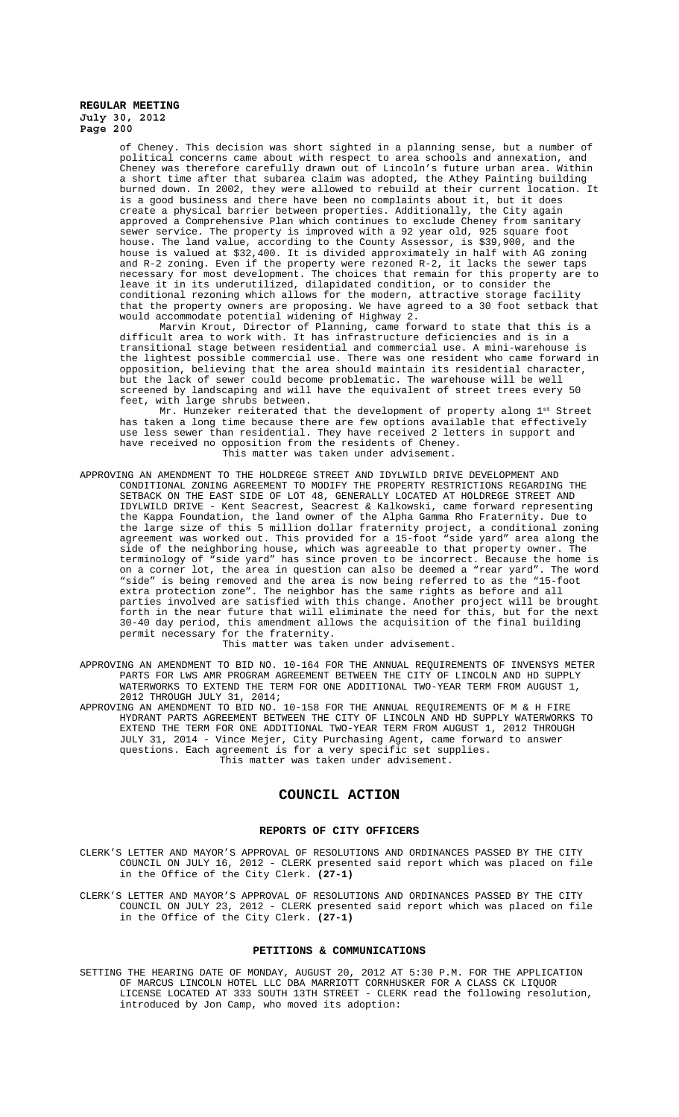of Cheney. This decision was short sighted in a planning sense, but a number of political concerns came about with respect to area schools and annexation, and Cheney was therefore carefully drawn out of Lincoln's future urban area. Within a short time after that subarea claim was adopted, the Athey Painting building burned down. In 2002, they were allowed to rebuild at their current location. It is a good business and there have been no complaints about it, but it does create a physical barrier between properties. Additionally, the City again approved a Comprehensive Plan which continues to exclude Cheney from sanitary sewer service. The property is improved with a 92 year old, 925 square foot house. The land value, according to the County Assessor, is \$39,900, and the house is valued at \$32,400. It is divided approximately in half with AG zoning and R-2 zoning. Even if the property were rezoned R-2, it lacks the sewer taps necessary for most development. The choices that remain for this property are to leave it in its underutilized, dilapidated condition, or to consider the conditional rezoning which allows for the modern, attractive storage facility that the property owners are proposing. We have agreed to a 30 foot setback that would accommodate potential widening of Highway 2.

Marvin Krout, Director of Planning, came forward to state that this is a difficult area to work with. It has infrastructure deficiencies and is in a transitional stage between residential and commercial use. A mini-warehouse is the lightest possible commercial use. There was one resident who came forward in opposition, believing that the area should maintain its residential character, but the lack of sewer could become problematic. The warehouse will be well screened by landscaping and will have the equivalent of street trees every 50 feet, with large shrubs between.

Mr. Hunzeker reiterated that the development of property along 1st Street has taken a long time because there are few options available that effectively use less sewer than residential. They have received 2 letters in support and have received no opposition from the residents of Cheney. This matter was taken under advisement.

APPROVING AN AMENDMENT TO THE HOLDREGE STREET AND IDYLWILD DRIVE DEVELOPMENT AND CONDITIONAL ZONING AGREEMENT TO MODIFY THE PROPERTY RESTRICTIONS REGARDING THE SETBACK ON THE EAST SIDE OF LOT 48, GENERALLY LOCATED AT HOLDREGE STREET AND IDYLWILD DRIVE - Kent Seacrest, Seacrest & Kalkowski, came forward representing the Kappa Foundation, the land owner of the Alpha Gamma Rho Fraternity. Due to the large size of this 5 million dollar fraternity project, a conditional zoning agreement was worked out. This provided for a 15-foot "side yard" area along the side of the neighboring house, which was agreeable to that property owner. The terminology of "side yard" has since proven to be incorrect. Because the home is on a corner lot, the area in question can also be deemed a "rear yard". The word "side" is being removed and the area is now being referred to as the "15-foot extra protection zone". The neighbor has the same rights as before and all parties involved are satisfied with this change. Another project will be brought forth in the near future that will eliminate the need for this, but for the next 30-40 day period, this amendment allows the acquisition of the final building permit necessary for the fraternity.

This matter was taken under advisement.

- APPROVING AN AMENDMENT TO BID NO. 10-164 FOR THE ANNUAL REQUIREMENTS OF INVENSYS METER PARTS FOR LWS AMR PROGRAM AGREEMENT BETWEEN THE CITY OF LINCOLN AND HD SUPPLY WATERWORKS TO EXTEND THE TERM FOR ONE ADDITIONAL TWO-YEAR TERM FROM AUGUST 1, 2012 THROUGH JULY 31, 2014;
- APPROVING AN AMENDMENT TO BID NO. 10-158 FOR THE ANNUAL REQUIREMENTS OF M & H FIRE HYDRANT PARTS AGREEMENT BETWEEN THE CITY OF LINCOLN AND HD SUPPLY WATERWORKS TO EXTEND THE TERM FOR ONE ADDITIONAL TWO-YEAR TERM FROM AUGUST 1, 2012 THROUGH JULY 31, 2014 - Vince Mejer, City Purchasing Agent, came forward to answer questions. Each agreement is for a very specific set supplies. This matter was taken under advisement.

#### **COUNCIL ACTION**

# **REPORTS OF CITY OFFICERS**

- CLERK'S LETTER AND MAYOR'S APPROVAL OF RESOLUTIONS AND ORDINANCES PASSED BY THE CITY COUNCIL ON JULY 16, 2012 - CLERK presented said report which was placed on file in the Office of the City Clerk. **(27-1)**
- CLERK'S LETTER AND MAYOR'S APPROVAL OF RESOLUTIONS AND ORDINANCES PASSED BY THE CITY COUNCIL ON JULY 23, 2012 - CLERK presented said report which was placed on file in the Office of the City Clerk. **(27-1)**

#### **PETITIONS & COMMUNICATIONS**

SETTING THE HEARING DATE OF MONDAY, AUGUST 20, 2012 AT 5:30 P.M. FOR THE APPLICATION OF MARCUS LINCOLN HOTEL LLC DBA MARRIOTT CORNHUSKER FOR A CLASS CK LIQUOR LICENSE LOCATED AT 333 SOUTH 13TH STREET - CLERK read the following resolution, introduced by Jon Camp, who moved its adoption: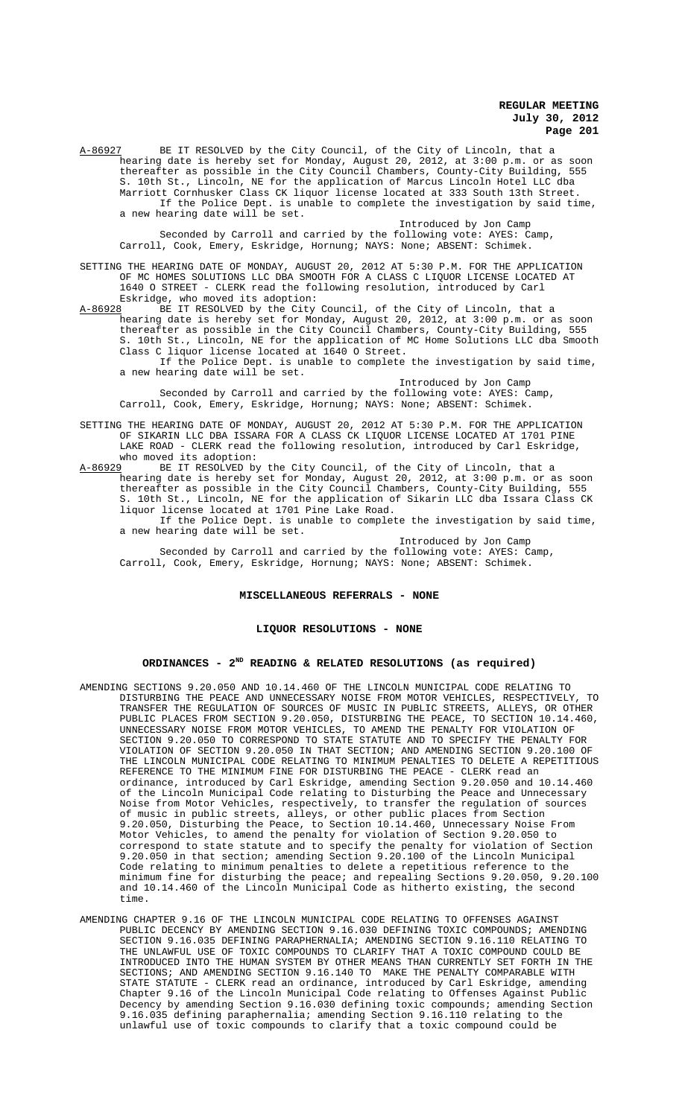A-86927 BE IT RESOLVED by the City Council, of the City of Lincoln, that a hearing date is hereby set for Monday, August 20, 2012, at 3:00 p.m. or as soon thereafter as possible in the City Council Chambers, County-City Building, 555 S. 10th St., Lincoln, NE for the application of Marcus Lincoln Hotel LLC dba Marriott Cornhusker Class CK liquor license located at 333 South 13th Street. If the Police Dept. is unable to complete the investigation by said time, a new hearing date will be set.

Introduced by Jon Camp Seconded by Carroll and carried by the following vote: AYES: Camp, Carroll, Cook, Emery, Eskridge, Hornung; NAYS: None; ABSENT: Schimek.

SETTING THE HEARING DATE OF MONDAY, AUGUST 20, 2012 AT 5:30 P.M. FOR THE APPLICATION OF MC HOMES SOLUTIONS LLC DBA SMOOTH FOR A CLASS C LIQUOR LICENSE LOCATED AT 1640 O STREET - CLERK read the following resolution, introduced by Carl Eskridge, who moved its adoption:

A-86928 BE IT RESOLVED by the City Council, of the City of Lincoln, that a hearing date is hereby set for Monday, August 20, 2012, at 3:00 p.m. or as soon thereafter as possible in the City Council Chambers, County-City Building, 555 S. 10th St., Lincoln, NE for the application of MC Home Solutions LLC dba Smooth Class C liquor license located at 1640 O Street.

If the Police Dept. is unable to complete the investigation by said time, a new hearing date will be set.

Introduced by Jon Camp Seconded by Carroll and carried by the following vote: AYES: Camp, Carroll, Cook, Emery, Eskridge, Hornung; NAYS: None; ABSENT: Schimek.

- SETTING THE HEARING DATE OF MONDAY, AUGUST 20, 2012 AT 5:30 P.M. FOR THE APPLICATION OF SIKARIN LLC DBA ISSARA FOR A CLASS CK LIQUOR LICENSE LOCATED AT 1701 PINE LAKE ROAD - CLERK read the following resolution, introduced by Carl Eskridge, who moved its adoption:<br>A-86929 BE IT RESOLVED by
- BE IT RESOLVED by the City Council, of the City of Lincoln, that a hearing date is hereby set for Monday, August 20, 2012, at 3:00 p.m. or as soon thereafter as possible in the City Council Chambers, County-City Building, 555 S. 10th St., Lincoln, NE for the application of Sikarin LLC dba Issara Class CK liquor license located at 1701 Pine Lake Road. If the Police Dept. is unable to complete the investigation by said time,

a new hearing date will be set. Introduced by Jon Camp

Seconded by Carroll and carried by the following vote: AYES: Camp, Carroll, Cook, Emery, Eskridge, Hornung; NAYS: None; ABSENT: Schimek.

### **MISCELLANEOUS REFERRALS - NONE**

# **LIQUOR RESOLUTIONS - NONE**

### **ORDINANCES - 2ND READING & RELATED RESOLUTIONS (as required)**

- AMENDING SECTIONS 9.20.050 AND 10.14.460 OF THE LINCOLN MUNICIPAL CODE RELATING TO DISTURBING THE PEACE AND UNNECESSARY NOISE FROM MOTOR VEHICLES, RESPECTIVELY, TO TRANSFER THE REGULATION OF SOURCES OF MUSIC IN PUBLIC STREETS, ALLEYS, OR OTHER PUBLIC PLACES FROM SECTION 9.20.050, DISTURBING THE PEACE, TO SECTION 10.14.460, UNNECESSARY NOISE FROM MOTOR VEHICLES, TO AMEND THE PENALTY FOR VIOLATION OF SECTION 9.20.050 TO CORRESPOND TO STATE STATUTE AND TO SPECIFY THE PENALTY FOR VIOLATION OF SECTION 9.20.050 IN THAT SECTION; AND AMENDING SECTION 9.20.100 OF THE LINCOLN MUNICIPAL CODE RELATING TO MINIMUM PENALTIES TO DELETE A REPETITIOUS REFERENCE TO THE MINIMUM FINE FOR DISTURBING THE PEACE - CLERK read an ordinance, introduced by Carl Eskridge, amending Section 9.20.050 and 10.14.460 of the Lincoln Municipal Code relating to Disturbing the Peace and Unnecessary Noise from Motor Vehicles, respectively, to transfer the regulation of sources of music in public streets, alleys, or other public places from Section 9.20.050, Disturbing the Peace, to Section 10.14.460, Unnecessary Noise From Motor Vehicles, to amend the penalty for violation of Section 9.20.050 to correspond to state statute and to specify the penalty for violation of Section 9.20.050 in that section; amending Section 9.20.100 of the Lincoln Municipal Code relating to minimum penalties to delete a repetitious reference to the minimum fine for disturbing the peace; and repealing Sections 9.20.050, 9.20.100 and 10.14.460 of the Lincoln Municipal Code as hitherto existing, the second time.
- AMENDING CHAPTER 9.16 OF THE LINCOLN MUNICIPAL CODE RELATING TO OFFENSES AGAINST PUBLIC DECENCY BY AMENDING SECTION 9.16.030 DEFINING TOXIC COMPOUNDS; AMENDING SECTION 9.16.035 DEFINING PARAPHERNALIA; AMENDING SECTION 9.16.110 RELATING TO THE UNLAWFUL USE OF TOXIC COMPOUNDS TO CLARIFY THAT A TOXIC COMPOUND COULD BE INTRODUCED INTO THE HUMAN SYSTEM BY OTHER MEANS THAN CURRENTLY SET FORTH IN THE SECTIONS; AND AMENDING SECTION 9.16.140 TO MAKE THE PENALTY COMPARABLE WITH STATE STATUTE - CLERK read an ordinance, introduced by Carl Eskridge, amending Chapter 9.16 of the Lincoln Municipal Code relating to Offenses Against Public Decency by amending Section 9.16.030 defining toxic compounds; amending Section 9.16.035 defining paraphernalia; amending Section 9.16.110 relating to the unlawful use of toxic compounds to clarify that a toxic compound could be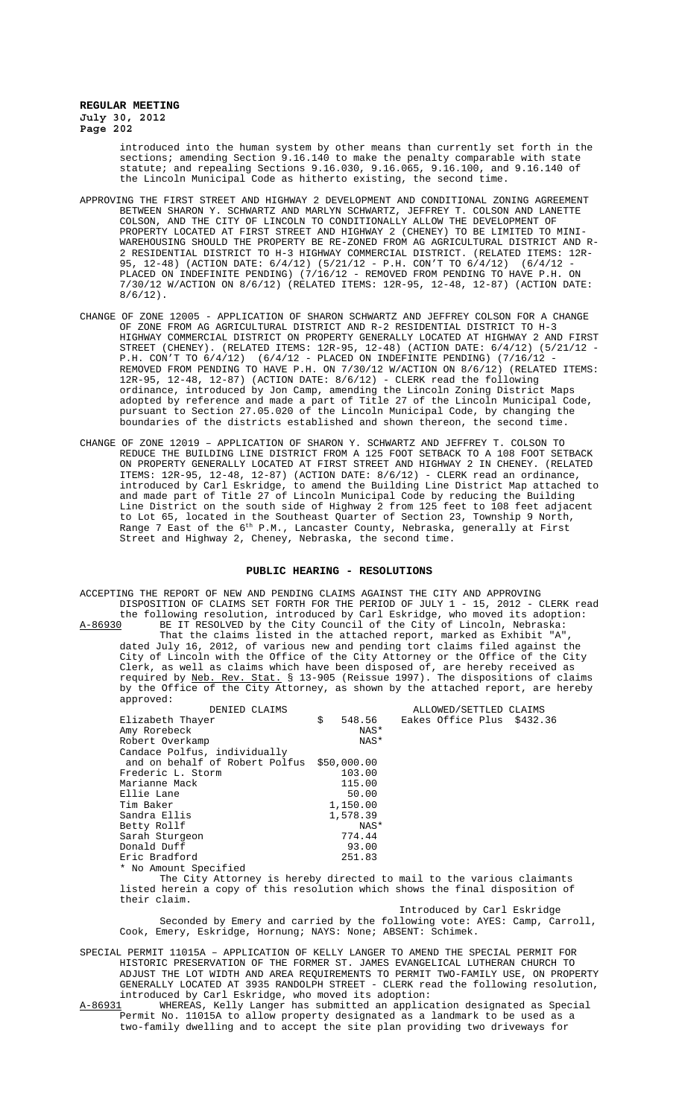> introduced into the human system by other means than currently set forth in the sections; amending Section 9.16.140 to make the penalty comparable with state statute; and repealing Sections 9.16.030, 9.16.065, 9.16.100, and 9.16.140 of the Lincoln Municipal Code as hitherto existing, the second time.

- APPROVING THE FIRST STREET AND HIGHWAY 2 DEVELOPMENT AND CONDITIONAL ZONING AGREEMENT BETWEEN SHARON Y. SCHWARTZ AND MARLYN SCHWARTZ, JEFFREY T. COLSON AND LANETTE COLSON, AND THE CITY OF LINCOLN TO CONDITIONALLY ALLOW THE DEVELOPMENT OF PROPERTY LOCATED AT FIRST STREET AND HIGHWAY 2 (CHENEY) TO BE LIMITED TO MINI-WAREHOUSING SHOULD THE PROPERTY BE RE-ZONED FROM AG AGRICULTURAL DISTRICT AND R-2 RESIDENTIAL DISTRICT TO H-3 HIGHWAY COMMERCIAL DISTRICT. (RELATED ITEMS: 12R-95, 12-48) (ACTION DATE: 6/4/12) (5/21/12 - P.H. CON'T TO 6/4/12) (6/4/12 - PLACED ON INDEFINITE PENDING) (7/16/12 - REMOVED FROM PENDING TO HAVE P.H. ON 7/30/12 W/ACTION ON 8/6/12) (RELATED ITEMS: 12R-95, 12-48, 12-87) (ACTION DATE:  $8/6/12$ .
- CHANGE OF ZONE 12005 APPLICATION OF SHARON SCHWARTZ AND JEFFREY COLSON FOR A CHANGE OF ZONE FROM AG AGRICULTURAL DISTRICT AND R-2 RESIDENTIAL DISTRICT TO H-3 HIGHWAY COMMERCIAL DISTRICT ON PROPERTY GENERALLY LOCATED AT HIGHWAY 2 AND FIRST STREET (CHENEY). (RELATED ITEMS: 12R-95, 12-48) (ACTION DATE: 6/4/12) (5/21/12 - P.H. CON'T TO 6/4/12) (6/4/12 - PLACED ON INDEFINITE PENDING) (7/16/12 - REMOVED FROM PENDING TO HAVE P.H. ON 7/30/12 W/ACTION ON 8/6/12) (RELATED ITEMS: 12R-95, 12-48, 12-87) (ACTION DATE: 8/6/12) - CLERK read the following ordinance, introduced by Jon Camp, amending the Lincoln Zoning District Maps adopted by reference and made a part of Title 27 of the Lincoln Municipal Code, pursuant to Section 27.05.020 of the Lincoln Municipal Code, by changing the boundaries of the districts established and shown thereon, the second time.
- CHANGE OF ZONE 12019 APPLICATION OF SHARON Y. SCHWARTZ AND JEFFREY T. COLSON TO REDUCE THE BUILDING LINE DISTRICT FROM A 125 FOOT SETBACK TO A 108 FOOT SETBACK ON PROPERTY GENERALLY LOCATED AT FIRST STREET AND HIGHWAY 2 IN CHENEY. (RELATED ITEMS: 12R-95, 12-48, 12-87) (ACTION DATE: 8/6/12) - CLERK read an ordinance, introduced by Carl Eskridge, to amend the Building Line District Map attached to and made part of Title 27 of Lincoln Municipal Code by reducing the Building Line District on the south side of Highway 2 from 125 feet to 108 feet adjacent to Lot 65, located in the Southeast Quarter of Section 23, Township 9 North, Range 7 East of the 6<sup>th</sup> P.M., Lancaster County, Nebraska, generally at First Street and Highway 2, Cheney, Nebraska, the second time.

#### **PUBLIC HEARING - RESOLUTIONS**

ACCEPTING THE REPORT OF NEW AND PENDING CLAIMS AGAINST THE CITY AND APPROVING DISPOSITION OF CLAIMS SET FORTH FOR THE PERIOD OF JULY 1 - 15, 2012 - CLERK read the following resolution, introduced by Carl Eskridge, who moved its adoption:<br>A-86930 BE IT RESOLVED by the City Council of the City of Lincoln, Nebraska: BE IT RESOLVED by the City Council of the City of Lincoln, Nebraska: That the claims listed in the attached report, marked as Exhibit "A",

dated July 16, 2012, of various new and pending tort claims filed against the City of Lincoln with the Office of the City Attorney or the Office of the City Clerk, as well as claims which have been disposed of, are hereby received as required by Neb. Rev. Stat. § 13-905 (Reissue 1997). The dispositions of claims by the Office of the City Attorney, as shown by the attached report, are hereby approved:

| DENIED CLAIMS                                                                | ALLOWED/SETTLED CLAIMS |  |  |  |                            |  |
|------------------------------------------------------------------------------|------------------------|--|--|--|----------------------------|--|
| Elizabeth Thayer                                                             | \$<br>548.56           |  |  |  | Eakes Office Plus \$432.36 |  |
| Amy Rorebeck                                                                 | NAS*                   |  |  |  |                            |  |
| Robert Overkamp                                                              | NAS*                   |  |  |  |                            |  |
| Candace Polfus, individually                                                 |                        |  |  |  |                            |  |
| and on behalf of Robert Polfus \$50,000.00                                   |                        |  |  |  |                            |  |
| Frederic L. Storm                                                            | 103.00                 |  |  |  |                            |  |
| Marianne Mack                                                                | 115.00                 |  |  |  |                            |  |
| Ellie Lane                                                                   | 50.00                  |  |  |  |                            |  |
| Tim Baker                                                                    | 1,150.00               |  |  |  |                            |  |
| Sandra Ellis                                                                 | 1,578.39               |  |  |  |                            |  |
| Betty Rollf                                                                  | NAS*                   |  |  |  |                            |  |
| Sarah Sturgeon                                                               | 774.44                 |  |  |  |                            |  |
| Donald Duff                                                                  | 93.00                  |  |  |  |                            |  |
| Eric Bradford                                                                | 251.83                 |  |  |  |                            |  |
| * No Amount Specified                                                        |                        |  |  |  |                            |  |
| The City Attorney is hereby directed to mail to the various claimants        |                        |  |  |  |                            |  |
| listed herein a copy of this resolution which shows the final disposition of |                        |  |  |  |                            |  |
| their claim.                                                                 |                        |  |  |  |                            |  |

Introduced by Carl Eskridge Seconded by Emery and carried by the following vote: AYES: Camp, Carroll, Cook, Emery, Eskridge, Hornung; NAYS: None; ABSENT: Schimek.

SPECIAL PERMIT 11015A – APPLICATION OF KELLY LANGER TO AMEND THE SPECIAL PERMIT FOR HISTORIC PRESERVATION OF THE FORMER ST. JAMES EVANGELICAL LUTHERAN CHURCH TO ADJUST THE LOT WIDTH AND AREA REQUIREMENTS TO PERMIT TWO-FAMILY USE, ON PROPERTY GENERALLY LOCATED AT 3935 RANDOLPH STREET - CLERK read the following resolution, introduced by Carl Eskridge, who moved its adoption:

A-86931 WHEREAS, Kelly Langer has submitted an application designated as Special Permit No. 11015A to allow property designated as a landmark to be used as a two-family dwelling and to accept the site plan providing two driveways for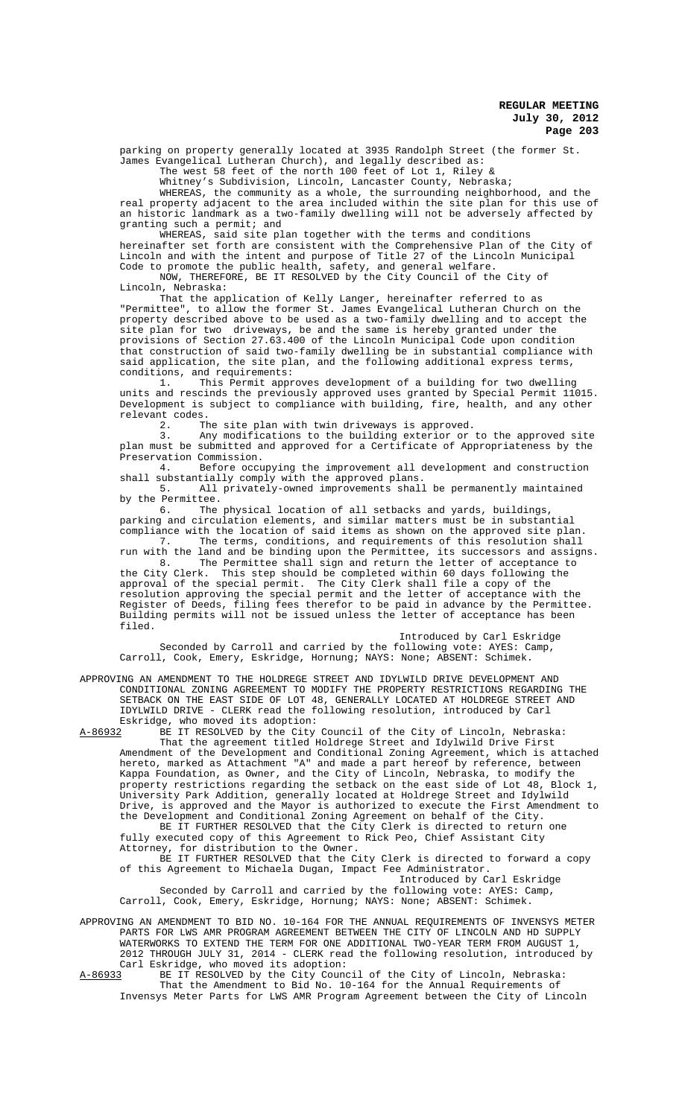parking on property generally located at 3935 Randolph Street (the former St. James Evangelical Lutheran Church), and legally described as:

The west 58 feet of the north 100 feet of Lot 1, Riley & Whitney's Subdivision, Lincoln, Lancaster County, Nebraska;

WHEREAS, the community as a whole, the surrounding neighborhood, and the real property adjacent to the area included within the site plan for this use of an historic landmark as a two-family dwelling will not be adversely affected by granting such a permit; and

WHEREAS, said site plan together with the terms and conditions hereinafter set forth are consistent with the Comprehensive Plan of the City of Lincoln and with the intent and purpose of Title 27 of the Lincoln Municipal Code to promote the public health, safety, and general welfare.

NOW, THEREFORE, BE IT RESOLVED by the City Council of the City of Lincoln, Nebraska:

That the application of Kelly Langer, hereinafter referred to as "Permittee", to allow the former St. James Evangelical Lutheran Church on the property described above to be used as a two-family dwelling and to accept the site plan for two driveways, be and the same is hereby granted under the provisions of Section 27.63.400 of the Lincoln Municipal Code upon condition that construction of said two-family dwelling be in substantial compliance with said application, the site plan, and the following additional express terms, conditions, and requirements:<br>1. This Permit appr

This Permit approves development of a building for two dwelling units and rescinds the previously approved uses granted by Special Permit 11015. Development is subject to compliance with building, fire, health, and any other relevant codes.<br>2. Th

2. The site plan with twin driveways is approved.

3. Any modifications to the building exterior or to the approved site plan must be submitted and approved for a Certificate of Appropriateness by the Preservation Commission.

4. Before occupying the improvement all development and construction shall substantially comply with the approved plans.

5. All privately-owned improvements shall be permanently maintained by the Permittee.<br>6. The

The physical location of all setbacks and yards, buildings, parking and circulation elements, and similar matters must be in substantial compliance with the location of said items as shown on the approved site plan.

7. The terms, conditions, and requirements of this resolution shall run with the land and be binding upon the Permittee, its successors and assigns. 8. The Permittee shall sign and return the letter of acceptance to

the City Clerk. This step should be completed within 60 days following the approval of the special permit. The City Clerk shall file a copy of the resolution approving the special permit and the letter of acceptance with the Register of Deeds, filing fees therefor to be paid in advance by the Permittee. Building permits will not be issued unless the letter of acceptance has been filed.

# Introduced by Carl Eskridge

Seconded by Carroll and carried by the following vote: AYES: Camp, Carroll, Cook, Emery, Eskridge, Hornung; NAYS: None; ABSENT: Schimek.

APPROVING AN AMENDMENT TO THE HOLDREGE STREET AND IDYLWILD DRIVE DEVELOPMENT AND CONDITIONAL ZONING AGREEMENT TO MODIFY THE PROPERTY RESTRICTIONS REGARDING THE SETBACK ON THE EAST SIDE OF LOT 48, GENERALLY LOCATED AT HOLDREGE STREET AND IDYLWILD DRIVE - CLERK read the following resolution, introduced by Carl Eskridge, who moved its adoption:

A-86932 BE IT RESOLVED by the City Council of the City of Lincoln, Nebraska: That the agreement titled Holdrege Street and Idylwild Drive First Amendment of the Development and Conditional Zoning Agreement, which is attached hereto, marked as Attachment "A" and made a part hereof by reference, between Kappa Foundation, as Owner, and the City of Lincoln, Nebraska, to modify the property restrictions regarding the setback on the east side of Lot 48, Block 1, University Park Addition, generally located at Holdrege Street and Idylwild Drive, is approved and the Mayor is authorized to execute the First Amendment to

the Development and Conditional Zoning Agreement on behalf of the City. BE IT FURTHER RESOLVED that the City Clerk is directed to return one fully executed copy of this Agreement to Rick Peo, Chief Assistant City Attorney, for distribution to the Owner.

BE IT FURTHER RESOLVED that the City Clerk is directed to forward a copy of this Agreement to Michaela Dugan, Impact Fee Administrator.

Introduced by Carl Eskridge Seconded by Carroll and carried by the following vote: AYES: Camp, Carroll, Cook, Emery, Eskridge, Hornung; NAYS: None; ABSENT: Schimek.

APPROVING AN AMENDMENT TO BID NO. 10-164 FOR THE ANNUAL REQUIREMENTS OF INVENSYS METER PARTS FOR LWS AMR PROGRAM AGREEMENT BETWEEN THE CITY OF LINCOLN AND HD SUPPLY WATERWORKS TO EXTEND THE TERM FOR ONE ADDITIONAL TWO-YEAR TERM FROM AUGUST 1, 2012 THROUGH JULY 31, 2014 - CLERK read the following resolution, introduced by Carl Eskridge, who moved its adoption:<br>A-86933 BE IT RESOLVED by the City Counc

BE IT RESOLVED by the City Council of the City of Lincoln, Nebraska: That the Amendment to Bid No. 10-164 for the Annual Requirements of Invensys Meter Parts for LWS AMR Program Agreement between the City of Lincoln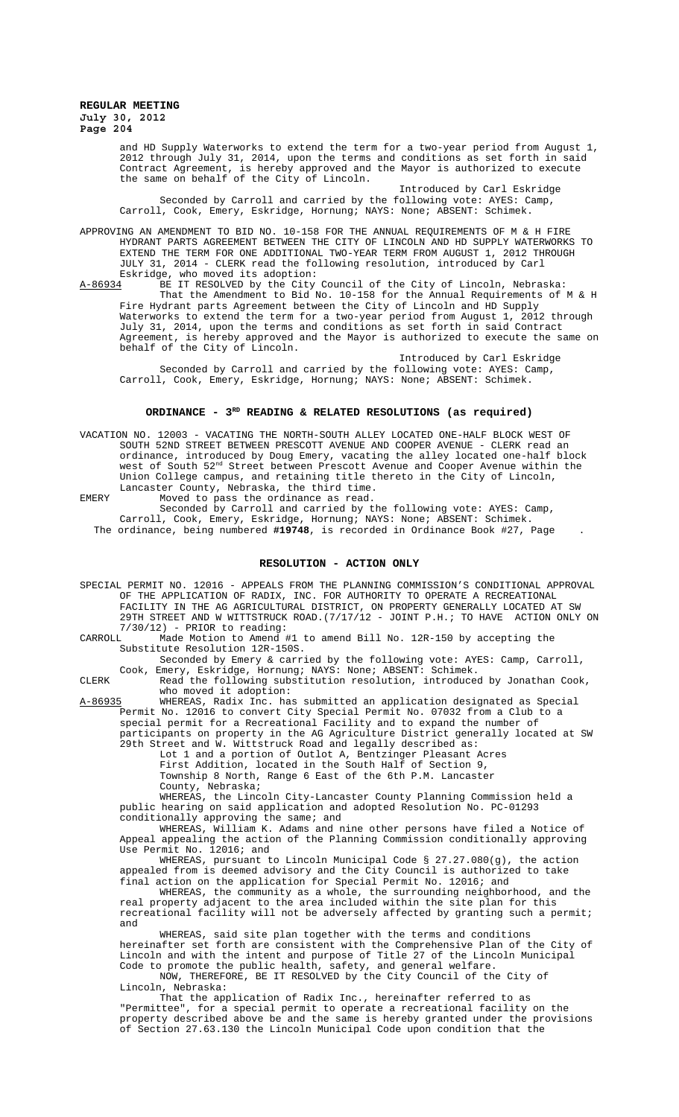and HD Supply Waterworks to extend the term for a two-year period from August 1, 2012 through July 31, 2014, upon the terms and conditions as set forth in said Contract Agreement, is hereby approved and the Mayor is authorized to execute the same on behalf of the City of Lincoln.

Introduced by Carl Eskridge Seconded by Carroll and carried by the following vote: AYES: Camp, Carroll, Cook, Emery, Eskridge, Hornung; NAYS: None; ABSENT: Schimek.

APPROVING AN AMENDMENT TO BID NO. 10-158 FOR THE ANNUAL REQUIREMENTS OF M & H FIRE HYDRANT PARTS AGREEMENT BETWEEN THE CITY OF LINCOLN AND HD SUPPLY WATERWORKS TO EXTEND THE TERM FOR ONE ADDITIONAL TWO-YEAR TERM FROM AUGUST 1, 2012 THROUGH JULY 31, 2014 - CLERK read the following resolution, introduced by Carl Eskridge, who moved its adoption:

A-86934 BE IT RESOLVED by the City Council of the City of Lincoln, Nebraska: That the Amendment to Bid No. 10-158 for the Annual Requirements of M & H Fire Hydrant parts Agreement between the City of Lincoln and HD Supply Waterworks to extend the term for a two-year period from August 1, 2012 through July 31, 2014, upon the terms and conditions as set forth in said Contract Agreement, is hereby approved and the Mayor is authorized to execute the same on behalf of the City of Lincoln.

Introduced by Carl Eskridge Seconded by Carroll and carried by the following vote: AYES: Camp, Carroll, Cook, Emery, Eskridge, Hornung; NAYS: None; ABSENT: Schimek.

#### **ORDINANCE - 3RD READING & RELATED RESOLUTIONS (as required)**

VACATION NO. 12003 - VACATING THE NORTH-SOUTH ALLEY LOCATED ONE-HALF BLOCK WEST OF SOUTH 52ND STREET BETWEEN PRESCOTT AVENUE AND COOPER AVENUE - CLERK read an ordinance, introduced by Doug Emery, vacating the alley located one-half block west of South 52nd Street between Prescott Avenue and Cooper Avenue within the Union College campus, and retaining title thereto in the City of Lincoln, Lancaster County, Nebraska, the third time. EMERY Moved to pass the ordinance as read.

Seconded by Carroll and carried by the following vote: AYES: Camp, Carroll, Cook, Emery, Eskridge, Hornung; NAYS: None; ABSENT: Schimek. The ordinance, being numbered **#19748**, is recorded in Ordinance Book #27, Page .

# **RESOLUTION - ACTION ONLY**

SPECIAL PERMIT NO. 12016 - APPEALS FROM THE PLANNING COMMISSION'S CONDITIONAL APPROVAL OF THE APPLICATION OF RADIX, INC. FOR AUTHORITY TO OPERATE A RECREATIONAL FACILITY IN THE AG AGRICULTURAL DISTRICT, ON PROPERTY GENERALLY LOCATED AT SW 29TH STREET AND W WITTSTRUCK ROAD.(7/17/12 - JOINT P.H.; TO HAVE ACTION ONLY ON 7/30/12) - PRIOR to reading:<br>CARROLL, Made Motion to Amend #

Made Motion to Amend #1 to amend Bill No. 12R-150 by accepting the Substitute Resolution 12R-150S.

Seconded by Emery & carried by the following vote: AYES: Camp, Carroll, Cook, Emery, Eskridge, Hornung; NAYS: None; ABSENT: Schimek.

CLERK Read the following substitution resolution, introduced by Jonathan Cook, who moved it adoption:

A-86935 WHEREAS, Radix Inc. has submitted an application designated as Special Permit No. 12016 to convert City Special Permit No. 07032 from a Club to a special permit for a Recreational Facility and to expand the number of participants on property in the AG Agriculture District generally located at SW

29th Street and W. Wittstruck Road and legally described as:

Lot 1 and a portion of Outlot A, Bentzinger Pleasant Acres

First Addition, located in the South Half of Section 9, Township 8 North, Range 6 East of the 6th P.M. Lancaster County, Nebraska;

WHEREAS, the Lincoln City-Lancaster County Planning Commission held a public hearing on said application and adopted Resolution No. PC-01293 conditionally approving the same; and

WHEREAS, William K. Adams and nine other persons have filed a Notice of Appeal appealing the action of the Planning Commission conditionally approving Use Permit No. 12016; and

WHEREAS, pursuant to Lincoln Municipal Code § 27.27.080(g), the action appealed from is deemed advisory and the City Council is authorized to take final action on the application for Special Permit No. 12016; and

WHEREAS, the community as a whole, the surrounding neighborhood, and the real property adjacent to the area included within the site plan for this recreational facility will not be adversely affected by granting such a permit; and

WHEREAS, said site plan together with the terms and conditions hereinafter set forth are consistent with the Comprehensive Plan of the City of Lincoln and with the intent and purpose of Title 27 of the Lincoln Municipal Code to promote the public health, safety, and general welfare. NOW, THEREFORE, BE IT RESOLVED by the City Council of the City of

Lincoln, Nebraska:

That the application of Radix Inc., hereinafter referred to as "Permittee", for a special permit to operate a recreational facility on the property described above be and the same is hereby granted under the provisions of Section 27.63.130 the Lincoln Municipal Code upon condition that the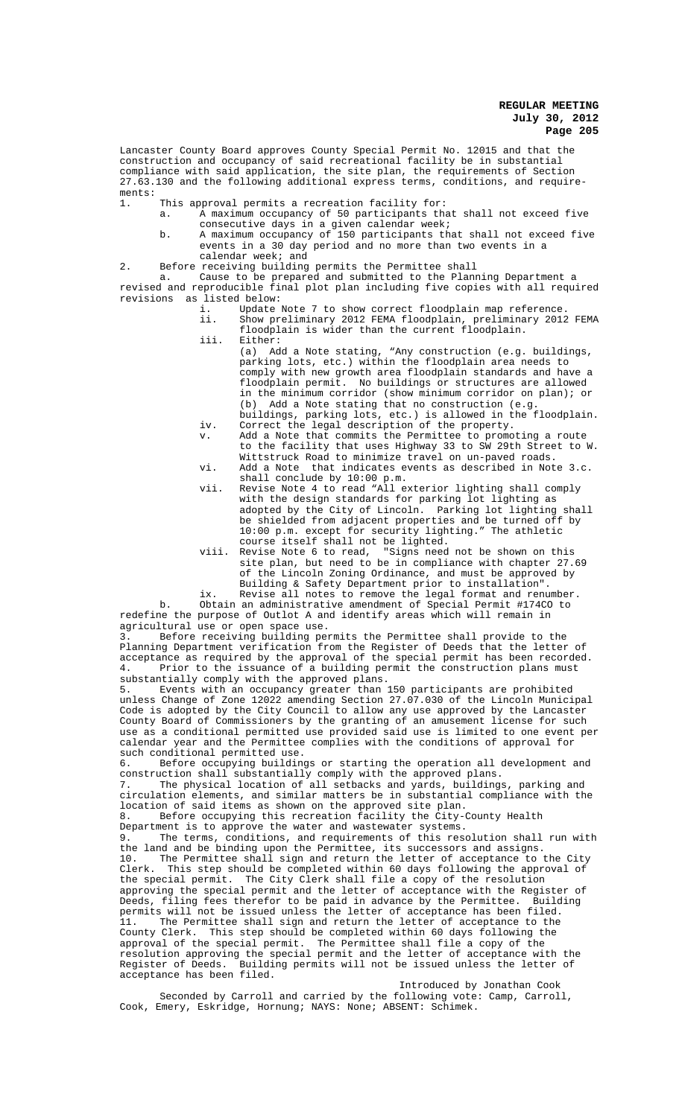Lancaster County Board approves County Special Permit No. 12015 and that the construction and occupancy of said recreational facility be in substantial compliance with said application, the site plan, the requirements of Section 27.63.130 and the following additional express terms, conditions, and requirements:

1. This approval permits a recreation facility for:

- a. A maximum occupancy of 50 participants that shall not exceed five consecutive days in a given calendar week;
- b. A maximum occupancy of 150 participants that shall not exceed five events in a 30 day period and no more than two events in a calendar week; and
- 2. Before receiving building permits the Permittee shall

a. Cause to be prepared and submitted to the Planning Department a revised and reproducible final plot plan including five copies with all required revisions as listed below:

- i. Update Note 7 to show correct floodplain map reference. ii. Show preliminary 2012 FEMA floodplain, preliminary 2012 FEMA
- floodplain is wider than the current floodplain. iii. Either:
	- (a) Add a Note stating, "Any construction (e.g. buildings, parking lots, etc.) within the floodplain area needs to comply with new growth area floodplain standards and have a floodplain permit. No buildings or structures are allowed in the minimum corridor (show minimum corridor on plan); or (b) Add a Note stating that no construction (e.g. Add a Note stating that no construction (e.g.
- buildings, parking lots, etc.) is allowed in the floodplain. iv. Correct the legal description of the property.
- v. Add a Note that commits the Permittee to promoting a route to the facility that uses Highway 33 to SW 29th Street to W. Wittstruck Road to minimize travel on un-paved roads.
- vi. Add a Note that indicates events as described in Note 3.c. shall conclude by 10:00 p.m.
- vii. Revise Note 4 to read "All exterior lighting shall comply with the design standards for parking lot lighting as adopted by the City of Lincoln. Parking lot lighting shall be shielded from adjacent properties and be turned off by 10:00 p.m. except for security lighting." The athletic course itself shall not be lighted.
- viii. Revise Note 6 to read, "Signs need not be shown on this site plan, but need to be in compliance with chapter 27.69 of the Lincoln Zoning Ordinance, and must be approved by Building & Safety Department prior to installation".
- ix. Revise all notes to remove the legal format and renumber. b. Obtain an administrative amendment of Special Permit #174CO to redefine the purpose of Outlot A and identify areas which will remain in

agricultural use or open space use.<br>3. Before receiving building per Before receiving building permits the Permittee shall provide to the Planning Department verification from the Register of Deeds that the letter of acceptance as required by the approval of the special permit has been recorded. 4. Prior to the issuance of a building permit the construction plans must substantially comply with the approved plans.

5. Events with an occupancy greater than 150 participants are prohibited unless Change of Zone 12022 amending Section 27.07.030 of the Lincoln Municipal Code is adopted by the City Council to allow any use approved by the Lancaster County Board of Commissioners by the granting of an amusement license for such use as a conditional permitted use provided said use is limited to one event per calendar year and the Permittee complies with the conditions of approval for such conditional permitted use.

6. Before occupying buildings or starting the operation all development and construction shall substantially comply with the approved plans.

7. The physical location of all setbacks and yards, buildings, parking and circulation elements, and similar matters be in substantial compliance with the location of said items as shown on the approved site plan.

8. Before occupying this recreation facility the City-County Health Department is to approve the water and wastewater systems.

9. The terms, conditions, and requirements of this resolution shall run with the land and be binding upon the Permittee, its successors and assigns. 10. The Permittee shall sign and return the letter of acceptance to the City Clerk. This step should be completed within 60 days following the approval of the special permit. The City Clerk shall file a copy of the resolution approving the special permit and the letter of acceptance with the Register of Deeds, filing fees therefor to be paid in advance by the Permittee. Building permits will not be issued unless the letter of acceptance has been filed. 11. The Permittee shall sign and return the letter of acceptance to the County Clerk. This step should be completed within 60 days following the approval of the special permit. The Permittee shall file a copy of the resolution approving the special permit and the letter of acceptance with the Register of Deeds. Building permits will not be issued unless the letter of acceptance has been filed.

Introduced by Jonathan Cook Seconded by Carroll and carried by the following vote: Camp, Carroll, Cook, Emery, Eskridge, Hornung; NAYS: None; ABSENT: Schimek.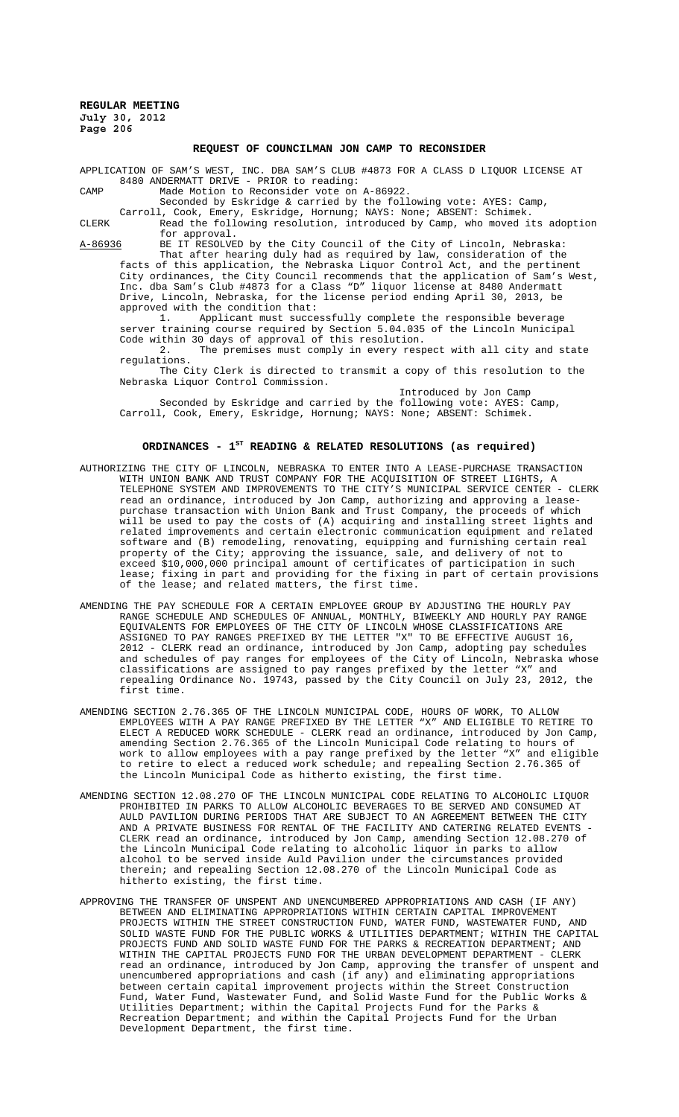## **REQUEST OF COUNCILMAN JON CAMP TO RECONSIDER**

APPLICATION OF SAM'S WEST, INC. DBA SAM'S CLUB #4873 FOR A CLASS D LIQUOR LICENSE AT 8480 ANDERMATT DRIVE - PRIOR to reading:

CAMP Made Motion to Reconsider vote on A-86922.

Seconded by Eskridge & carried by the following vote: AYES: Camp,

Carroll, Cook, Emery, Eskridge, Hornung; NAYS: None; ABSENT: Schimek. CLERK Read the following resolution, introduced by Camp, who moved its adoption for approval.

A-86936 BE IT RESOLVED by the City Council of the City of Lincoln, Nebraska: That after hearing duly had as required by law, consideration of the

facts of this application, the Nebraska Liquor Control Act, and the pertinent City ordinances, the City Council recommends that the application of Sam's West, Inc. dba Sam's Club #4873 for a Class "D" liquor license at 8480 Andermatt Drive, Lincoln, Nebraska, for the license period ending April 30, 2013, be approved with the condition that:

1. Applicant must successfully complete the responsible beverage server training course required by Section 5.04.035 of the Lincoln Municipal Code within 30 days of approval of this resolution.

2. The premises must comply in every respect with all city and state regulations.

The City Clerk is directed to transmit a copy of this resolution to the Nebraska Liquor Control Commission.

Introduced by Jon Camp Seconded by Eskridge and carried by the following vote: AYES: Camp, Carroll, Cook, Emery, Eskridge, Hornung; NAYS: None; ABSENT: Schimek.

### ORDINANCES - 1<sup>st</sup> READING & RELATED RESOLUTIONS (as required)

- AUTHORIZING THE CITY OF LINCOLN, NEBRASKA TO ENTER INTO A LEASE-PURCHASE TRANSACTION WITH UNION BANK AND TRUST COMPANY FOR THE ACQUISITION OF STREET LIGHTS, A TELEPHONE SYSTEM AND IMPROVEMENTS TO THE CITY'S MUNICIPAL SERVICE CENTER - CLERK read an ordinance, introduced by Jon Camp, authorizing and approving a leasepurchase transaction with Union Bank and Trust Company, the proceeds of which will be used to pay the costs of (A) acquiring and installing street lights and related improvements and certain electronic communication equipment and related software and (B) remodeling, renovating, equipping and furnishing certain real property of the City; approving the issuance, sale, and delivery of not to exceed \$10,000,000 principal amount of certificates of participation in such lease; fixing in part and providing for the fixing in part of certain provisions of the lease; and related matters, the first time.
- AMENDING THE PAY SCHEDULE FOR A CERTAIN EMPLOYEE GROUP BY ADJUSTING THE HOURLY PAY RANGE SCHEDULE AND SCHEDULES OF ANNUAL, MONTHLY, BIWEEKLY AND HOURLY PAY RANGE EQUIVALENTS FOR EMPLOYEES OF THE CITY OF LINCOLN WHOSE CLASSIFICATIONS ARE ASSIGNED TO PAY RANGES PREFIXED BY THE LETTER "X" TO BE EFFECTIVE AUGUST 16, 2012 - CLERK read an ordinance, introduced by Jon Camp, adopting pay schedules and schedules of pay ranges for employees of the City of Lincoln, Nebraska whose classifications are assigned to pay ranges prefixed by the letter "X" and repealing Ordinance No. 19743, passed by the City Council on July 23, 2012, the first time.
- AMENDING SECTION 2.76.365 OF THE LINCOLN MUNICIPAL CODE, HOURS OF WORK, TO ALLOW EMPLOYEES WITH A PAY RANGE PREFIXED BY THE LETTER "X" AND ELIGIBLE TO RETIRE TO ELECT A REDUCED WORK SCHEDULE - CLERK read an ordinance, introduced by Jon Camp, amending Section 2.76.365 of the Lincoln Municipal Code relating to hours of work to allow employees with a pay range prefixed by the letter "X" and eligible to retire to elect a reduced work schedule; and repealing Section 2.76.365 of the Lincoln Municipal Code as hitherto existing, the first time.
- AMENDING SECTION 12.08.270 OF THE LINCOLN MUNICIPAL CODE RELATING TO ALCOHOLIC LIQUOR PROHIBITED IN PARKS TO ALLOW ALCOHOLIC BEVERAGES TO BE SERVED AND CONSUMED AT AULD PAVILION DURING PERIODS THAT ARE SUBJECT TO AN AGREEMENT BETWEEN THE CITY AND A PRIVATE BUSINESS FOR RENTAL OF THE FACILITY AND CATERING RELATED EVENTS - CLERK read an ordinance, introduced by Jon Camp, amending Section 12.08.270 of the Lincoln Municipal Code relating to alcoholic liquor in parks to allow alcohol to be served inside Auld Pavilion under the circumstances provided therein; and repealing Section 12.08.270 of the Lincoln Municipal Code as hitherto existing, the first time.
- APPROVING THE TRANSFER OF UNSPENT AND UNENCUMBERED APPROPRIATIONS AND CASH (IF ANY) BETWEEN AND ELIMINATING APPROPRIATIONS WITHIN CERTAIN CAPITAL IMPROVEMENT PROJECTS WITHIN THE STREET CONSTRUCTION FUND, WATER FUND, WASTEWATER FUND, SOLID WASTE FUND FOR THE PUBLIC WORKS & UTILITIES DEPARTMENT; WITHIN THE CAPITAL PROJECTS FUND AND SOLID WASTE FUND FOR THE PARKS & RECREATION DEPARTMENT; AND WITHIN THE CAPITAL PROJECTS FUND FOR THE URBAN DEVELOPMENT DEPARTMENT - CLERK read an ordinance, introduced by Jon Camp, approving the transfer of unspent and unencumbered appropriations and cash (if any) and eliminating appropriations between certain capital improvement projects within the Street Construction Fund, Water Fund, Wastewater Fund, and Solid Waste Fund for the Public Works & Utilities Department; within the Capital Projects Fund for the Parks & Recreation Department; and within the Capital Projects Fund for the Urban Development Department, the first time.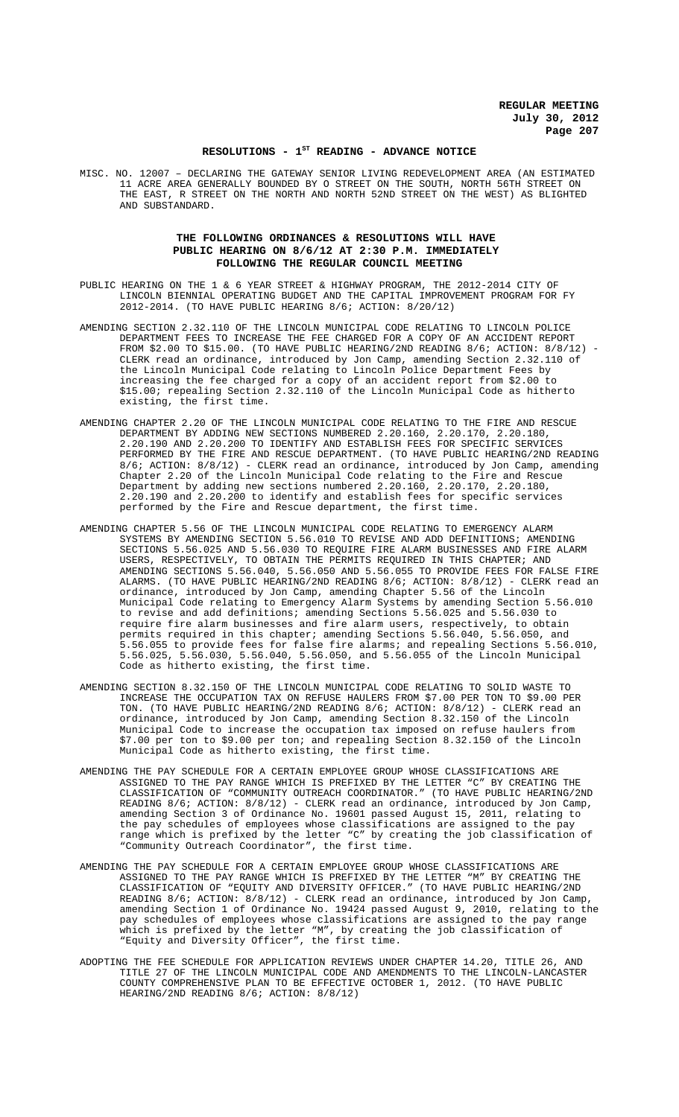### RESOLUTIONS - 1<sup>st</sup> READING - ADVANCE NOTICE

MISC. NO. 12007 – DECLARING THE GATEWAY SENIOR LIVING REDEVELOPMENT AREA (AN ESTIMATED 11 ACRE AREA GENERALLY BOUNDED BY O STREET ON THE SOUTH, NORTH 56TH STREET ON THE EAST, R STREET ON THE NORTH AND NORTH 52ND STREET ON THE WEST) AS BLIGHTED AND SUBSTANDARD.

## **THE FOLLOWING ORDINANCES & RESOLUTIONS WILL HAVE PUBLIC HEARING ON 8/6/12 AT 2:30 P.M. IMMEDIATELY FOLLOWING THE REGULAR COUNCIL MEETING**

- PUBLIC HEARING ON THE 1 & 6 YEAR STREET & HIGHWAY PROGRAM, THE 2012-2014 CITY OF LINCOLN BIENNIAL OPERATING BUDGET AND THE CAPITAL IMPROVEMENT PROGRAM FOR FY 2012-2014. (TO HAVE PUBLIC HEARING 8/6; ACTION: 8/20/12)
- AMENDING SECTION 2.32.110 OF THE LINCOLN MUNICIPAL CODE RELATING TO LINCOLN POLICE DEPARTMENT FEES TO INCREASE THE FEE CHARGED FOR A COPY OF AN ACCIDENT REPORT FROM \$2.00 TO \$15.00. (TO HAVE PUBLIC HEARING/2ND READING  $8/6$ ; ACTION:  $8/8/12$ ) CLERK read an ordinance, introduced by Jon Camp, amending Section 2.32.110 of the Lincoln Municipal Code relating to Lincoln Police Department Fees by increasing the fee charged for a copy of an accident report from \$2.00 to \$15.00; repealing Section 2.32.110 of the Lincoln Municipal Code as hitherto existing, the first time.
- AMENDING CHAPTER 2.20 OF THE LINCOLN MUNICIPAL CODE RELATING TO THE FIRE AND RESCUE DEPARTMENT BY ADDING NEW SECTIONS NUMBERED 2.20.160, 2.20.170, 2.20.180, 2.20.190 AND 2.20.200 TO IDENTIFY AND ESTABLISH FEES FOR SPECIFIC SERVICES PERFORMED BY THE FIRE AND RESCUE DEPARTMENT. (TO HAVE PUBLIC HEARING/2ND READING 8/6; ACTION: 8/8/12) - CLERK read an ordinance, introduced by Jon Camp, amending Chapter 2.20 of the Lincoln Municipal Code relating to the Fire and Rescue Department by adding new sections numbered 2.20.160, 2.20.170, 2.20.180, 2.20.190 and 2.20.200 to identify and establish fees for specific services performed by the Fire and Rescue department, the first time.
- AMENDING CHAPTER 5.56 OF THE LINCOLN MUNICIPAL CODE RELATING TO EMERGENCY ALARM SYSTEMS BY AMENDING SECTION 5.56.010 TO REVISE AND ADD DEFINITIONS; AMENDING SECTIONS 5.56.025 AND 5.56.030 TO REQUIRE FIRE ALARM BUSINESSES AND FIRE ALARM USERS, RESPECTIVELY, TO OBTAIN THE PERMITS REQUIRED IN THIS CHAPTER; AND AMENDING SECTIONS 5.56.040, 5.56.050 AND 5.56.055 TO PROVIDE FEES FOR FALSE FIRE ALARMS. (TO HAVE PUBLIC HEARING/2ND READING 8/6; ACTION: 8/8/12) - CLERK read an ordinance, introduced by Jon Camp, amending Chapter 5.56 of the Lincoln Municipal Code relating to Emergency Alarm Systems by amending Section 5.56.010 to revise and add definitions; amending Sections 5.56.025 and 5.56.030 to require fire alarm businesses and fire alarm users, respectively, to obtain permits required in this chapter; amending Sections 5.56.040, 5.56.050, and 5.56.055 to provide fees for false fire alarms; and repealing Sections 5.56.010, 5.56.025, 5.56.030, 5.56.040, 5.56.050, and 5.56.055 of the Lincoln Municipal Code as hitherto existing, the first time.
- AMENDING SECTION 8.32.150 OF THE LINCOLN MUNICIPAL CODE RELATING TO SOLID WASTE TO INCREASE THE OCCUPATION TAX ON REFUSE HAULERS FROM \$7.00 PER TON TO \$9.00 PER TON. (TO HAVE PUBLIC HEARING/2ND READING 8/6; ACTION: 8/8/12) - CLERK read an ordinance, introduced by Jon Camp, amending Section 8.32.150 of the Lincoln Municipal Code to increase the occupation tax imposed on refuse haulers from \$7.00 per ton to \$9.00 per ton; and repealing Section 8.32.150 of the Lincoln Municipal Code as hitherto existing, the first time.
- AMENDING THE PAY SCHEDULE FOR A CERTAIN EMPLOYEE GROUP WHOSE CLASSIFICATIONS ARE ASSIGNED TO THE PAY RANGE WHICH IS PREFIXED BY THE LETTER "C" BY CREATING THE CLASSIFICATION OF "COMMUNITY OUTREACH COORDINATOR." (TO HAVE PUBLIC HEARING/2ND READING 8/6; ACTION: 8/8/12) - CLERK read an ordinance, introduced by Jon Camp, amending Section 3 of Ordinance No. 19601 passed August 15, 2011, relating to the pay schedules of employees whose classifications are assigned to the pay range which is prefixed by the letter "C" by creating the job classification of "Community Outreach Coordinator", the first time.
- AMENDING THE PAY SCHEDULE FOR A CERTAIN EMPLOYEE GROUP WHOSE CLASSIFICATIONS ARE ASSIGNED TO THE PAY RANGE WHICH IS PREFIXED BY THE LETTER "M" BY CREATING THE CLASSIFICATION OF "EQUITY AND DIVERSITY OFFICER." (TO HAVE PUBLIC HEARING/2ND READING 8/6; ACTION: 8/8/12) - CLERK read an ordinance, introduced by Jon Camp, amending Section 1 of Ordinance No. 19424 passed August 9, 2010, relating to the pay schedules of employees whose classifications are assigned to the pay range which is prefixed by the letter "M", by creating the job classification of "Equity and Diversity Officer", the first time.
- ADOPTING THE FEE SCHEDULE FOR APPLICATION REVIEWS UNDER CHAPTER 14.20, TITLE 26, AND TITLE 27 OF THE LINCOLN MUNICIPAL CODE AND AMENDMENTS TO THE LINCOLN-LANCASTER COUNTY COMPREHENSIVE PLAN TO BE EFFECTIVE OCTOBER 1, 2012. (TO HAVE PUBLIC HEARING/2ND READING 8/6; ACTION: 8/8/12)